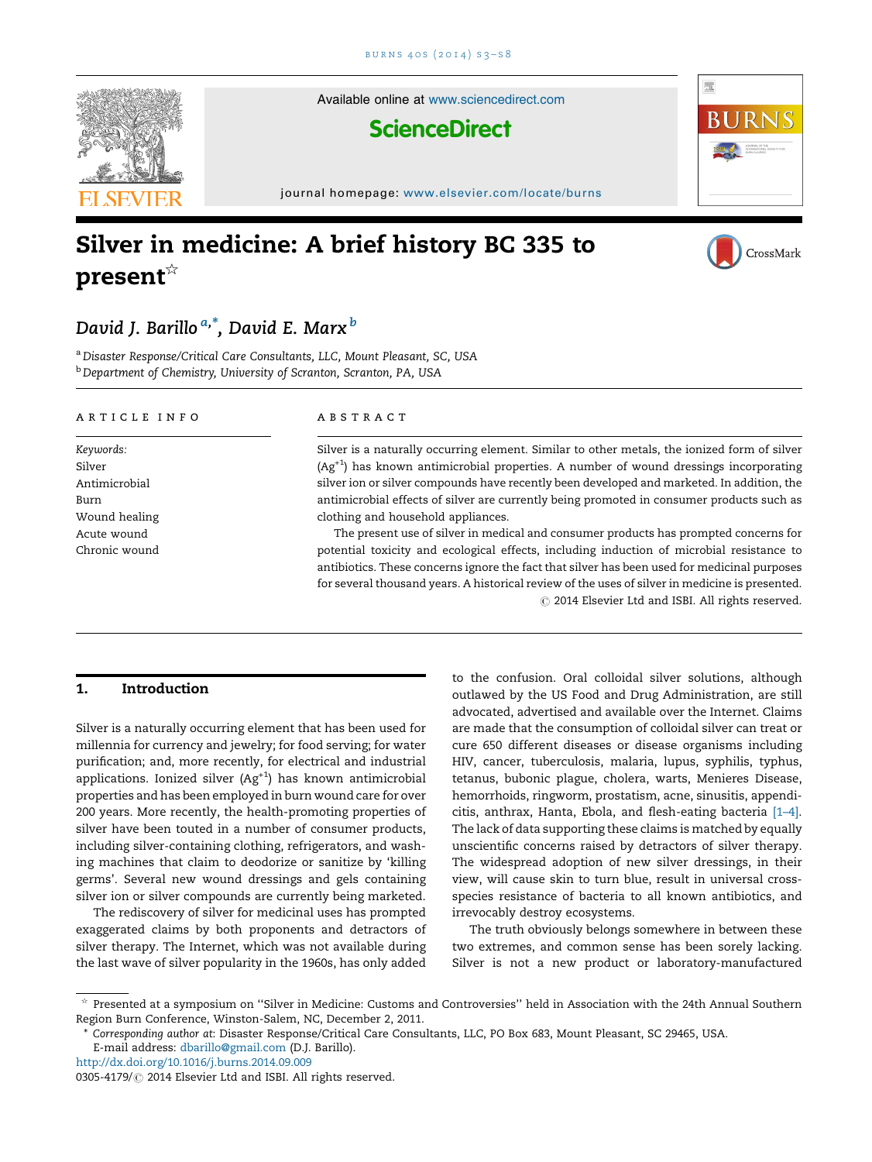

Available online at [www.sciencedirect.com](http://www.sciencedirect.com/science/journal/03054179)

# **ScienceDirect**

journal homepage: <www.elsevier.com/locate/burns>

# Silver in medicine: A brief history BC 335 to present $\mathbb{R}^{\mathbb{Z}}$



CrossMark

骤

# David J. Barillo <sup>a,\*</sup>, David E. Marx <sup>b</sup>

<sup>a</sup> Disaster Response/Critical Care Consultants, LLC, Mount Pleasant, SC, USA **b** Department of Chemistry, University of Scranton, Scranton, PA, USA

#### ARTICLE INFO

Keywords: Silver Antimicrobial Burn Wound healing Acute wound Chronic wound

### A B S T R A C T

Silver is a naturally occurring element. Similar to other metals, the ionized form of silver  $(Ag<sup>+1</sup>)$  has known antimicrobial properties. A number of wound dressings incorporating silver ion or silver compounds have recently been developed and marketed. In addition, the antimicrobial effects of silver are currently being promoted in consumer products such as clothing and household appliances.

The present use of silver in medical and consumer products has prompted concerns for potential toxicity and ecological effects, including induction of microbial resistance to antibiotics. These concerns ignore the fact that silver has been used for medicinal purposes for several thousand years. A historical review of the uses of silver in medicine is presented.  $©$  2014 Elsevier Ltd and ISBI. All rights reserved.

# 1. Introduction

Silver is a naturally occurring element that has been used for millennia for currency and jewelry; for food serving; for water purification; and, more recently, for electrical and industrial applications. Ionized silver  $(Ag<sup>+1</sup>)$  has known antimicrobial properties and has been employed in burn wound care for over 200 years. More recently, the health-promoting properties of silver have been touted in a number of consumer products, including silver-containing clothing, refrigerators, and washing machines that claim to deodorize or sanitize by 'killing germs'. Several new wound dressings and gels containing silver ion or silver compounds are currently being marketed.

The rediscovery of silver for medicinal uses has prompted exaggerated claims by both proponents and detractors of silver therapy. The Internet, which was not available during the last wave of silver popularity in the 1960s, has only added

to the confusion. Oral colloidal silver solutions, although outlawed by the US Food and Drug Administration, are still advocated, advertised and available over the Internet. Claims are made that the consumption of colloidal silver can treat or cure 650 different diseases or disease organisms including HIV, cancer, tuberculosis, malaria, lupus, syphilis, typhus, tetanus, bubonic plague, cholera, warts, Menieres Disease, hemorrhoids, ringworm, prostatism, acne, sinusitis, appendicitis, anthrax, Hanta, Ebola, and flesh-eating bacteria [\[1–4\].](#page-4-0) The lack of data supporting these claims is matched by equally unscientific concerns raised by detractors of silver therapy. The widespread adoption of new silver dressings, in their view, will cause skin to turn blue, result in universal crossspecies resistance of bacteria to all known antibiotics, and irrevocably destroy ecosystems.

The truth obviously belongs somewhere in between these two extremes, and common sense has been sorely lacking. Silver is not a new product or laboratory-manufactured

<sup>§</sup> Presented at a symposium on ''Silver in Medicine: Customs and Controversies'' held in Association with the 24th Annual Southern Region Burn Conference, Winston-Salem, NC, December 2, 2011.

<sup>\*</sup> Corresponding author at: Disaster Response/Critical Care Consultants, LLC, PO Box 683, Mount Pleasant, SC 29465, USA.

E-mail address: [dbarillo@gmail.com](mailto:dbarillo@gmail.com) (D.J. Barillo).

<http://dx.doi.org/10.1016/j.burns.2014.09.009>

<sup>0305-4179/ @ 2014</sup> Elsevier Ltd and ISBI. All rights reserved.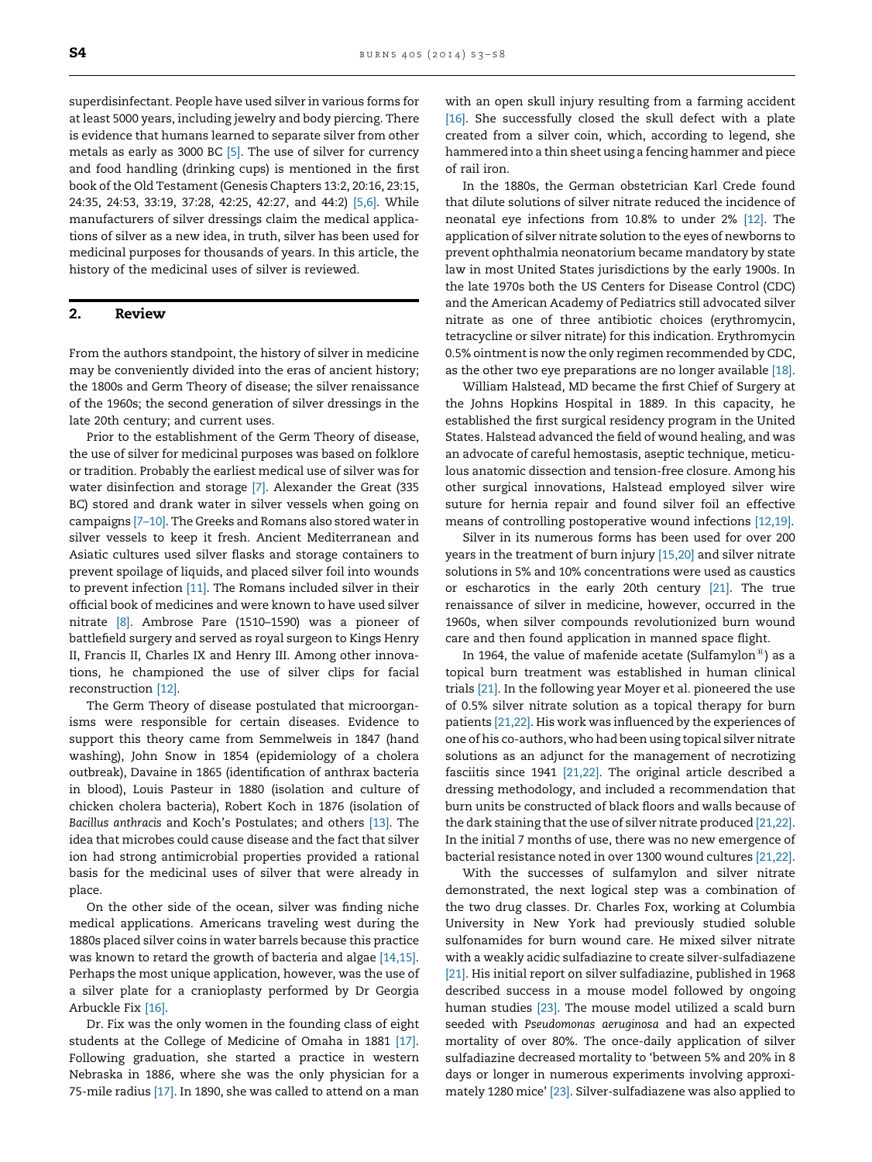superdisinfectant. People have used silver in various forms for at least 5000 years, including jewelry and body piercing. There is evidence that humans learned to separate silver from other metals as early as 3000 BC [\[5\]](#page-4-0). The use of silver for currency and food handling (drinking cups) is mentioned in the first book of the Old Testament (Genesis Chapters 13:2, 20:16, 23:15, 24:35, 24:53, 33:19, 37:28, 42:25, 42:27, and 44:2) [\[5,6\]](#page-4-0). While manufacturers of silver dressings claim the medical applications of silver as a new idea, in truth, silver has been used for medicinal purposes for thousands of years. In this article, the history of the medicinal uses of silver is reviewed.

## 2. Review

From the authors standpoint, the history of silver in medicine may be conveniently divided into the eras of ancient history; the 1800s and Germ Theory of disease; the silver renaissance of the 1960s; the second generation of silver dressings in the late 20th century; and current uses.

Prior to the establishment of the Germ Theory of disease, the use of silver for medicinal purposes was based on folklore or tradition. Probably the earliest medical use of silver was for water disinfection and storage [\[7\].](#page-4-0) Alexander the Great (335 BC) stored and drank water in silver vessels when going on campaigns [\[7–10\]](#page-4-0). The Greeks and Romans also stored water in silver vessels to keep it fresh. Ancient Mediterranean and Asiatic cultures used silver flasks and storage containers to prevent spoilage of liquids, and placed silver foil into wounds to prevent infection [\[11\]](#page-4-0). The Romans included silver in their official book of medicines and were known to have used silver nitrate [\[8\].](#page-4-0) Ambrose Pare (1510–1590) was a pioneer of battlefield surgery and served as royal surgeon to Kings Henry II, Francis II, Charles IX and Henry III. Among other innovations, he championed the use of silver clips for facial reconstruction [\[12\].](#page-4-0)

The Germ Theory of disease postulated that microorganisms were responsible for certain diseases. Evidence to support this theory came from Semmelweis in 1847 (hand washing), John Snow in 1854 (epidemiology of a cholera outbreak), Davaine in 1865 (identification of anthrax bacteria in blood), Louis Pasteur in 1880 (isolation and culture of chicken cholera bacteria), Robert Koch in 1876 (isolation of Bacillus anthracis and Koch's Postulates; and others [\[13\].](#page-4-0) The idea that microbes could cause disease and the fact that silver ion had strong antimicrobial properties provided a rational basis for the medicinal uses of silver that were already in place.

On the other side of the ocean, silver was finding niche medical applications. Americans traveling west during the 1880s placed silver coins in water barrels because this practice was known to retard the growth of bacteria and algae [\[14,15\]](#page-4-0). Perhaps the most unique application, however, was the use of a silver plate for a cranioplasty performed by Dr Georgia Arbuckle Fix [\[16\].](#page-4-0)

Dr. Fix was the only women in the founding class of eight students at the College of Medicine of Omaha in 1881 [\[17\]](#page-4-0). Following graduation, she started a practice in western Nebraska in 1886, where she was the only physician for a 75-mile radius [\[17\].](#page-4-0) In 1890, she was called to attend on a man

with an open skull injury resulting from a farming accident [\[16\]](#page-4-0). She successfully closed the skull defect with a plate created from a silver coin, which, according to legend, she hammered into a thin sheet using a fencing hammer and piece of rail iron.

In the 1880s, the German obstetrician Karl Crede found that dilute solutions of silver nitrate reduced the incidence of neonatal eye infections from 10.8% to under 2% [\[12\].](#page-4-0) The application of silver nitrate solution to the eyes of newborns to prevent ophthalmia neonatorium became mandatory by state law in most United States jurisdictions by the early 1900s. In the late 1970s both the US Centers for Disease Control (CDC) and the American Academy of Pediatrics still advocated silver nitrate as one of three antibiotic choices (erythromycin, tetracycline or silver nitrate) for this indication. Erythromycin 0.5% ointment is now the only regimen recommended by CDC, as the other two eye preparations are no longer available [\[18\]](#page-4-0).

William Halstead, MD became the first Chief of Surgery at the Johns Hopkins Hospital in 1889. In this capacity, he established the first surgical residency program in the United States. Halstead advanced the field of wound healing, and was an advocate of careful hemostasis, aseptic technique, meticulous anatomic dissection and tension-free closure. Among his other surgical innovations, Halstead employed silver wire suture for hernia repair and found silver foil an effective means of controlling postoperative wound infections [\[12,19\]](#page-4-0).

Silver in its numerous forms has been used for over 200 years in the treatment of burn injury [\[15,20\]](#page-4-0) and silver nitrate solutions in 5% and 10% concentrations were used as caustics or escharotics in the early 20th century [\[21\]](#page-4-0). The true renaissance of silver in medicine, however, occurred in the 1960s, when silver compounds revolutionized burn wound care and then found application in manned space flight.

In 1964, the value of mafenide acetate (Sulfamylon<sup>®</sup>) as a topical burn treatment was established in human clinical trials [\[21\]](#page-4-0). In the following year Moyer et al. pioneered the use of 0.5% silver nitrate solution as a topical therapy for burn patients [\[21,22\]](#page-4-0). His work was influenced by the experiences of one of his co-authors, who had been using topical silver nitrate solutions as an adjunct for the management of necrotizing fasciitis since 1941 [\[21,22\]](#page-4-0). The original article described a dressing methodology, and included a recommendation that burn units be constructed of black floors and walls because of the dark staining that the use of silver nitrate produced [\[21,22\]](#page-4-0). In the initial 7 months of use, there was no new emergence of bacterial resistance noted in over 1300 wound cultures [\[21,22\]](#page-4-0).

With the successes of sulfamylon and silver nitrate demonstrated, the next logical step was a combination of the two drug classes. Dr. Charles Fox, working at Columbia University in New York had previously studied soluble sulfonamides for burn wound care. He mixed silver nitrate with a weakly acidic sulfadiazine to create silver-sulfadiazene [\[21\]](#page-4-0). His initial report on silver sulfadiazine, published in 1968 described success in a mouse model followed by ongoing human studies [\[23\].](#page-4-0) The mouse model utilized a scald burn seeded with Pseudomonas aeruginosa and had an expected mortality of over 80%. The once-daily application of silver sulfadiazine decreased mortality to 'between 5% and 20% in 8 days or longer in numerous experiments involving approximately 1280 mice' [\[23\]](#page-4-0). Silver-sulfadiazene was also applied to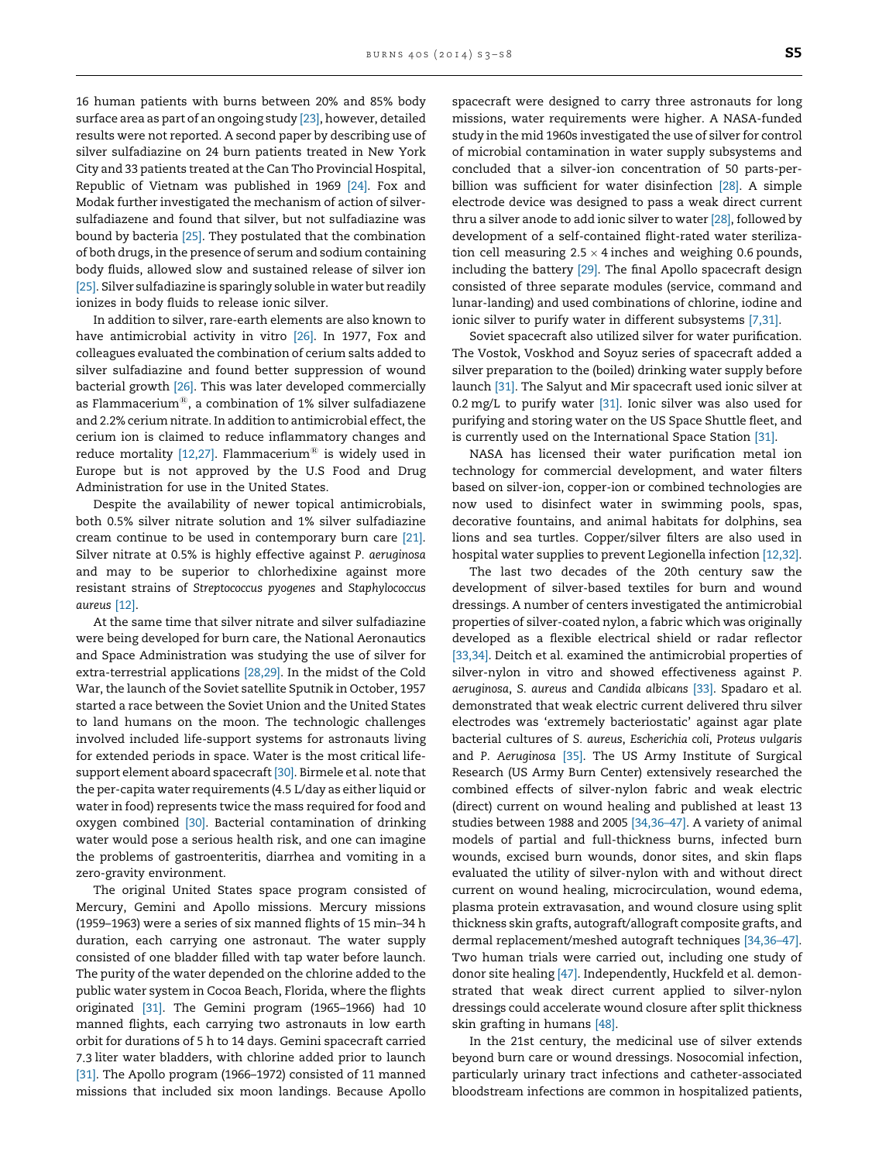16 human patients with burns between 20% and 85% body surface area as part of an ongoing study [\[23\]](#page-4-0), however, detailed results were not reported. A second paper by describing use of silver sulfadiazine on 24 burn patients treated in New York City and 33 patients treated at the Can Tho Provincial Hospital, Republic of Vietnam was published in 1969 [\[24\]](#page-4-0). Fox and Modak further investigated the mechanism of action of silversulfadiazene and found that silver, but not sulfadiazine was bound by bacteria [\[25\]](#page-4-0). They postulated that the combination of both drugs, in the presence of serum and sodium containing body fluids, allowed slow and sustained release of silver ion [\[25\].](#page-4-0) Silver sulfadiazine is sparingly soluble in water but readily ionizes in body fluids to release ionic silver.

In addition to silver, rare-earth elements are also known to have antimicrobial activity in vitro [\[26\]](#page-4-0). In 1977, Fox and colleagues evaluated the combination of cerium salts added to silver sulfadiazine and found better suppression of wound bacterial growth [\[26\]](#page-4-0). This was later developed commercially as Flammacerium $^{\circledR}$ , a combination of 1% silver sulfadiazene and 2.2% cerium nitrate. In addition to antimicrobial effect, the cerium ion is claimed to reduce inflammatory changes and reduce mortality  $[12,27]$ . Flammacerium<sup>®</sup> is widely used in Europe but is not approved by the U.S Food and Drug Administration for use in the United States.

Despite the availability of newer topical antimicrobials, both 0.5% silver nitrate solution and 1% silver sulfadiazine cream continue to be used in contemporary burn care [\[21\].](#page-4-0) Silver nitrate at 0.5% is highly effective against P. aeruginosa and may to be superior to chlorhedixine against more resistant strains of Streptococcus pyogenes and Staphylococcus aureus [\[12\]](#page-4-0).

At the same time that silver nitrate and silver sulfadiazine were being developed for burn care, the National Aeronautics and Space Administration was studying the use of silver for extra-terrestrial applications [\[28,29\].](#page-4-0) In the midst of the Cold War, the launch of the Soviet satellite Sputnik in October, 1957 started a race between the Soviet Union and the United States to land humans on the moon. The technologic challenges involved included life-support systems for astronauts living for extended periods in space. Water is the most critical lifesupport element aboard spacecraft [\[30\].](#page-4-0) Birmele et al. note that the per-capita water requirements (4.5 L/day as either liquid or water in food) represents twice the mass required for food and oxygen combined [\[30\]](#page-4-0). Bacterial contamination of drinking water would pose a serious health risk, and one can imagine the problems of gastroenteritis, diarrhea and vomiting in a zero-gravity environment.

The original United States space program consisted of Mercury, Gemini and Apollo missions. Mercury missions (1959–1963) were a series of six manned flights of 15 min–34 h duration, each carrying one astronaut. The water supply consisted of one bladder filled with tap water before launch. The purity of the water depended on the chlorine added to the public water system in Cocoa Beach, Florida, where the flights originated [\[31\].](#page-4-0) The Gemini program (1965–1966) had 10 manned flights, each carrying two astronauts in low earth orbit for durations of 5 h to 14 days. Gemini spacecraft carried 7.3 liter water bladders, with chlorine added prior to launch [\[31\].](#page-4-0) The Apollo program (1966–1972) consisted of 11 manned missions that included six moon landings. Because Apollo

spacecraft were designed to carry three astronauts for long missions, water requirements were higher. A NASA-funded study in the mid 1960s investigated the use of silver for control of microbial contamination in water supply subsystems and concluded that a silver-ion concentration of 50 parts-perbillion was sufficient for water disinfection [\[28\].](#page-4-0) A simple electrode device was designed to pass a weak direct current thru a silver anode to add ionic silver to water [\[28\]](#page-4-0), followed by development of a self-contained flight-rated water sterilization cell measuring 2.5  $\times$  4 inches and weighing 0.6 pounds, including the battery [\[29\]](#page-4-0). The final Apollo spacecraft design consisted of three separate modules (service, command and lunar-landing) and used combinations of chlorine, iodine and ionic silver to purify water in different subsystems [\[7,31\]](#page-4-0).

Soviet spacecraft also utilized silver for water purification. The Vostok, Voskhod and Soyuz series of spacecraft added a silver preparation to the (boiled) drinking water supply before launch [\[31\].](#page-4-0) The Salyut and Mir spacecraft used ionic silver at 0.2 mg/L to purify water [\[31\]](#page-4-0). Ionic silver was also used for purifying and storing water on the US Space Shuttle fleet, and is currently used on the International Space Station [\[31\]](#page-4-0).

NASA has licensed their water purification metal ion technology for commercial development, and water filters based on silver-ion, copper-ion or combined technologies are now used to disinfect water in swimming pools, spas, decorative fountains, and animal habitats for dolphins, sea lions and sea turtles. Copper/silver filters are also used in hospital water supplies to prevent Legionella infection [\[12,32\].](#page-4-0)

The last two decades of the 20th century saw the development of silver-based textiles for burn and wound dressings. A number of centers investigated the antimicrobial properties of silver-coated nylon, a fabric which was originally developed as a flexible electrical shield or radar reflector [\[33,34\].](#page-4-0) Deitch et al. examined the antimicrobial properties of silver-nylon in vitro and showed effectiveness against P. aeruginosa, S. aureus and Candida albicans [\[33\]](#page-4-0). Spadaro et al. demonstrated that weak electric current delivered thru silver electrodes was 'extremely bacteriostatic' against agar plate bacterial cultures of S. aureus, Escherichia coli, Proteus vulgaris and P. Aeruginosa [\[35\]](#page-4-0). The US Army Institute of Surgical Research (US Army Burn Center) extensively researched the combined effects of silver-nylon fabric and weak electric (direct) current on wound healing and published at least 13 studies between 1988 and 2005 [\[34,36–47\].](#page-4-0) A variety of animal models of partial and full-thickness burns, infected burn wounds, excised burn wounds, donor sites, and skin flaps evaluated the utility of silver-nylon with and without direct current on wound healing, microcirculation, wound edema, plasma protein extravasation, and wound closure using split thickness skin grafts, autograft/allograft composite grafts, and dermal replacement/meshed autograft techniques [\[34,36–47\].](#page-4-0) Two human trials were carried out, including one study of donor site healing [\[47\].](#page-5-0) Independently, Huckfeld et al. demonstrated that weak direct current applied to silver-nylon dressings could accelerate wound closure after split thickness skin grafting in humans [\[48\]](#page-5-0).

In the 21st century, the medicinal use of silver extends beyond burn care or wound dressings. Nosocomial infection, particularly urinary tract infections and catheter-associated bloodstream infections are common in hospitalized patients,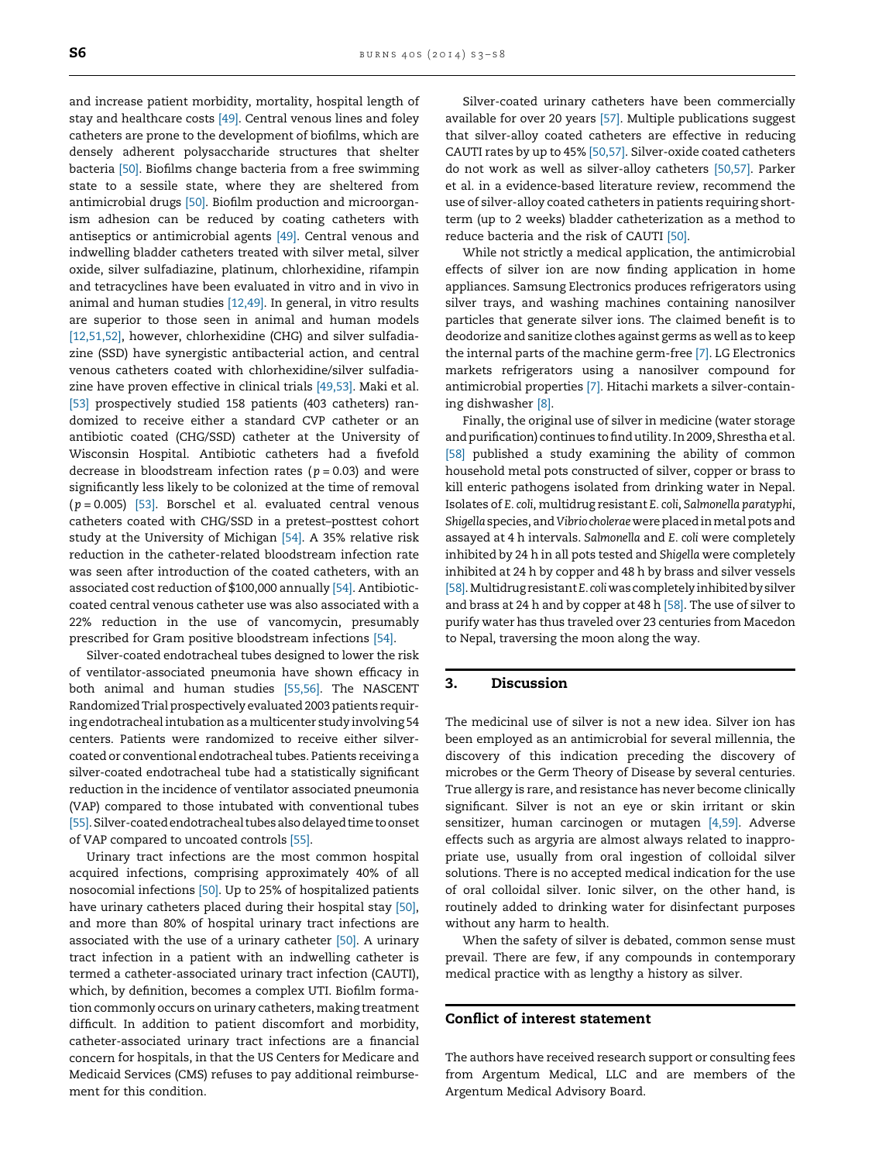and increase patient morbidity, mortality, hospital length of stay and healthcare costs [\[49\].](#page-5-0) Central venous lines and foley catheters are prone to the development of biofilms, which are densely adherent polysaccharide structures that shelter bacteria [\[50\].](#page-5-0) Biofilms change bacteria from a free swimming state to a sessile state, where they are sheltered from antimicrobial drugs [\[50\]](#page-5-0). Biofilm production and microorganism adhesion can be reduced by coating catheters with antiseptics or antimicrobial agents [\[49\].](#page-5-0) Central venous and indwelling bladder catheters treated with silver metal, silver oxide, silver sulfadiazine, platinum, chlorhexidine, rifampin and tetracyclines have been evaluated in vitro and in vivo in animal and human studies [\[12,49\]](#page-4-0). In general, in vitro results are superior to those seen in animal and human models [\[12,51,52\],](#page-4-0) however, chlorhexidine (CHG) and silver sulfadiazine (SSD) have synergistic antibacterial action, and central venous catheters coated with chlorhexidine/silver sulfadiazine have proven effective in clinical trials [\[49,53\].](#page-5-0) Maki et al. [\[53\]](#page-5-0) prospectively studied 158 patients (403 catheters) randomized to receive either a standard CVP catheter or an antibiotic coated (CHG/SSD) catheter at the University of Wisconsin Hospital. Antibiotic catheters had a fivefold decrease in bloodstream infection rates ( $p = 0.03$ ) and were significantly less likely to be colonized at the time of removal  $(p = 0.005)$  [\[53\]](#page-5-0). Borschel et al. evaluated central venous catheters coated with CHG/SSD in a pretest–posttest cohort study at the University of Michigan [\[54\]](#page-5-0). A 35% relative risk reduction in the catheter-related bloodstream infection rate was seen after introduction of the coated catheters, with an associated cost reduction of \$100,000 annually [\[54\].](#page-5-0) Antibioticcoated central venous catheter use was also associated with a 22% reduction in the use of vancomycin, presumably prescribed for Gram positive bloodstream infections [\[54\].](#page-5-0)

Silver-coated endotracheal tubes designed to lower the risk of ventilator-associated pneumonia have shown efficacy in both animal and human studies [\[55,56\]](#page-5-0). The NASCENT RandomizedTrialprospectively evaluated 2003 patients requiring endotracheal intubation as a multicenter study involving 54 centers. Patients were randomized to receive either silvercoated or conventional endotracheal tubes. Patients receiving a silver-coated endotracheal tube had a statistically significant reduction in the incidence of ventilator associated pneumonia (VAP) compared to those intubated with conventional tubes [\[55\].](#page-5-0) Silver-coated endotracheal tubes also delayed time to onset of VAP compared to uncoated controls [\[55\].](#page-5-0)

Urinary tract infections are the most common hospital acquired infections, comprising approximately 40% of all nosocomial infections [\[50\]](#page-5-0). Up to 25% of hospitalized patients have urinary catheters placed during their hospital stay [\[50\]](#page-5-0), and more than 80% of hospital urinary tract infections are associated with the use of a urinary catheter [\[50\]](#page-5-0). A urinary tract infection in a patient with an indwelling catheter is termed a catheter-associated urinary tract infection (CAUTI), which, by definition, becomes a complex UTI. Biofilm formation commonly occurs on urinary catheters, making treatment difficult. In addition to patient discomfort and morbidity, catheter-associated urinary tract infections are a financial concern for hospitals, in that the US Centers for Medicare and Medicaid Services (CMS) refuses to pay additional reimbursement for this condition.

Silver-coated urinary catheters have been commercially available for over 20 years [\[57\].](#page-5-0) Multiple publications suggest that silver-alloy coated catheters are effective in reducing CAUTI rates by up to 45% [\[50,57\]](#page-5-0). Silver-oxide coated catheters do not work as well as silver-alloy catheters [\[50,57\].](#page-5-0) Parker et al. in a evidence-based literature review, recommend the use of silver-alloy coated catheters in patients requiring shortterm (up to 2 weeks) bladder catheterization as a method to reduce bacteria and the risk of CAUTI [\[50\]](#page-5-0).

While not strictly a medical application, the antimicrobial effects of silver ion are now finding application in home appliances. Samsung Electronics produces refrigerators using silver trays, and washing machines containing nanosilver particles that generate silver ions. The claimed benefit is to deodorize and sanitize clothes against germs as well as to keep the internal parts of the machine germ-free [\[7\]](#page-4-0). LG Electronics markets refrigerators using a nanosilver compound for antimicrobial properties [\[7\]](#page-4-0). Hitachi markets a silver-containing dishwasher [\[8\]](#page-4-0).

Finally, the original use of silver in medicine (water storage and purification) continues to find utility. In 2009, Shrestha et al. [\[58\]](#page-5-0) published a study examining the ability of common household metal pots constructed of silver, copper or brass to kill enteric pathogens isolated from drinking water in Nepal. Isolates of E. coli, multidrug resistant E. coli, Salmonella paratyphi, Shigella species, and Vibrio cholerae were placed in metal pots and assayed at 4 h intervals. Salmonella and E. coli were completely inhibited by 24 h in all pots tested and Shigella were completely inhibited at 24 h by copper and 48 h by brass and silver vessels [\[58\].](#page-5-0)MultidrugresistantE. coliwas completelyinhibited bysilver and brass at 24 h and by copper at 48 h [\[58\]](#page-5-0). The use of silver to purify water has thus traveled over 23 centuries from Macedon to Nepal, traversing the moon along the way.

# 3. Discussion

The medicinal use of silver is not a new idea. Silver ion has been employed as an antimicrobial for several millennia, the discovery of this indication preceding the discovery of microbes or the Germ Theory of Disease by several centuries. True allergy is rare, and resistance has never become clinically significant. Silver is not an eye or skin irritant or skin sensitizer, human carcinogen or mutagen [\[4,59\]](#page-4-0). Adverse effects such as argyria are almost always related to inappropriate use, usually from oral ingestion of colloidal silver solutions. There is no accepted medical indication for the use of oral colloidal silver. Ionic silver, on the other hand, is routinely added to drinking water for disinfectant purposes without any harm to health.

When the safety of silver is debated, common sense must prevail. There are few, if any compounds in contemporary medical practice with as lengthy a history as silver.

## Conflict of interest statement

The authors have received research support or consulting fees from Argentum Medical, LLC and are members of the Argentum Medical Advisory Board.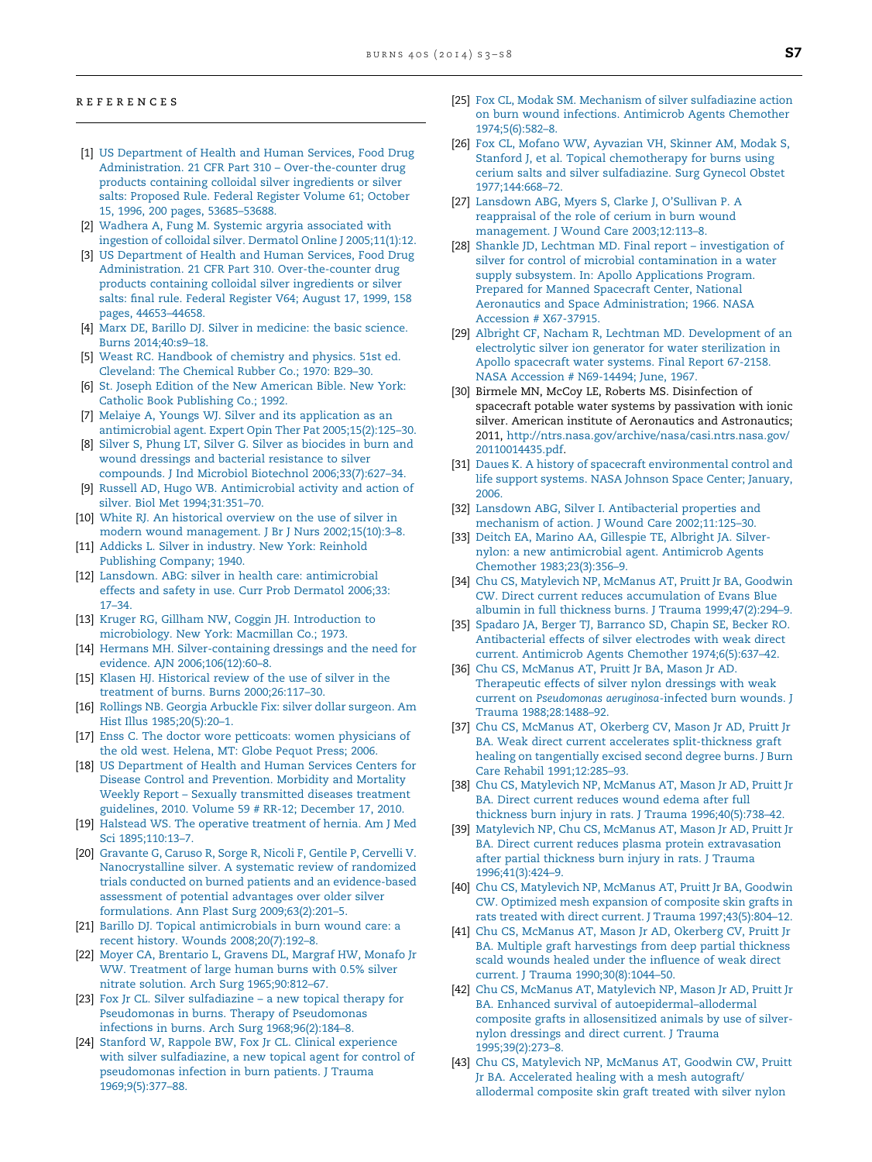#### <span id="page-4-0"></span>r e f e r e n c e s

- [1] US [Department](http://refhub.elsevier.com/S0305-4179(14)00304-0/sbref0005) of Health and Human Services, Food Drug Administration. 21 CFR Part 310 – [Over-the-counter](http://refhub.elsevier.com/S0305-4179(14)00304-0/sbref0005) drug products containing colloidal silver [ingredients](http://refhub.elsevier.com/S0305-4179(14)00304-0/sbref0005) or silver salts: [Proposed](http://refhub.elsevier.com/S0305-4179(14)00304-0/sbref0005) Rule. Federal Register Volume 61; October 15, 1996, 200 pages, [53685–53688](http://refhub.elsevier.com/S0305-4179(14)00304-0/sbref0005).
- [2] Wadhera A, Fung M. Systemic argyria [associated](http://refhub.elsevier.com/S0305-4179(14)00304-0/sbref0010) with ingestion of colloidal silver. Dermatol Online J [2005;11\(1\):12.](http://refhub.elsevier.com/S0305-4179(14)00304-0/sbref0010)
- [3] US [Department](http://refhub.elsevier.com/S0305-4179(14)00304-0/sbref0015) of Health and Human Services, Food Drug Administration. 21 CFR Part 310. [Over-the-counter](http://refhub.elsevier.com/S0305-4179(14)00304-0/sbref0015) drug products containing colloidal silver [ingredients](http://refhub.elsevier.com/S0305-4179(14)00304-0/sbref0015) or silver salts: final rule. Federal [Register](http://refhub.elsevier.com/S0305-4179(14)00304-0/sbref0015) V64; August 17, 1999, 158 pages, [44653–44658](http://refhub.elsevier.com/S0305-4179(14)00304-0/sbref0015).
- [4] Marx DE, Barillo DJ. Silver in [medicine:](http://refhub.elsevier.com/S0305-4179(14)00304-0/sbref0020) the basic science. Burns [2014;40:s9–18](http://refhub.elsevier.com/S0305-4179(14)00304-0/sbref0020).
- [5] Weast RC. [Handbook](http://refhub.elsevier.com/S0305-4179(14)00304-0/sbref0025) of chemistry and physics. 51st ed. [Cleveland:](http://refhub.elsevier.com/S0305-4179(14)00304-0/sbref0025) The Chemical Rubber Co.; 1970: [B29–30.](http://refhub.elsevier.com/S0305-4179(14)00304-0/sbref0025)
- [6] St. Joseph Edition of the New [American](http://refhub.elsevier.com/S0305-4179(14)00304-0/sbref0030) Bible. New York: Catholic Book [Publishing](http://refhub.elsevier.com/S0305-4179(14)00304-0/sbref0030) Co.; 1992.
- [7] Melaiye A, Youngs WJ. Silver and its [application](http://refhub.elsevier.com/S0305-4179(14)00304-0/sbref0035) as an antimicrobial agent. Expert Opin Ther Pat [2005;15\(2\):125–30.](http://refhub.elsevier.com/S0305-4179(14)00304-0/sbref0035)
- [8] Silver S, Phung LT, Silver G. Silver as [biocides](http://refhub.elsevier.com/S0305-4179(14)00304-0/sbref0040) in burn and wound dressings and bacterial [resistance](http://refhub.elsevier.com/S0305-4179(14)00304-0/sbref0040) to silver compounds. J Ind Microbiol Biotechnol [2006;33\(7\):627–34.](http://refhub.elsevier.com/S0305-4179(14)00304-0/sbref0040)
- [9] Russell AD, Hugo WB. [Antimicrobial](http://refhub.elsevier.com/S0305-4179(14)00304-0/sbref0045) activity and action of silver. Biol Met [1994;31:351–70](http://refhub.elsevier.com/S0305-4179(14)00304-0/sbref0045).
- [10] White RJ. An [historical](http://refhub.elsevier.com/S0305-4179(14)00304-0/sbref0050) overview on the use of silver in modern wound management. J Br J Nurs [2002;15\(10\):3–8.](http://refhub.elsevier.com/S0305-4179(14)00304-0/sbref0050)
- [11] Addicks L. Silver in [industry.](http://refhub.elsevier.com/S0305-4179(14)00304-0/sbref0055) New York: Reinhold [Publishing](http://refhub.elsevier.com/S0305-4179(14)00304-0/sbref0055) Company; 1940.
- [12] Lansdown. ABG: silver in health care: [antimicrobial](http://refhub.elsevier.com/S0305-4179(14)00304-0/sbref0060) effects and safety in use. Curr Prob [Dermatol](http://refhub.elsevier.com/S0305-4179(14)00304-0/sbref0060) 2006;33: [17–34](http://refhub.elsevier.com/S0305-4179(14)00304-0/sbref0060).
- [13] Kruger RG, Gillham NW, Coggin JH. [Introduction](http://refhub.elsevier.com/S0305-4179(14)00304-0/sbref0065) to [microbiology.](http://refhub.elsevier.com/S0305-4179(14)00304-0/sbref0065) New York: Macmillan Co.; 1973.
- [14] Hermans MH. [Silver-containing](http://refhub.elsevier.com/S0305-4179(14)00304-0/sbref0070) dressings and the need for evidence. AJN [2006;106\(12\):60–8.](http://refhub.elsevier.com/S0305-4179(14)00304-0/sbref0070)
- [15] Klasen HJ. [Historical](http://refhub.elsevier.com/S0305-4179(14)00304-0/sbref0075) review of the use of silver in the treatment of burns. Burns [2000;26:117–30](http://refhub.elsevier.com/S0305-4179(14)00304-0/sbref0075).
- [16] Rollings NB. Georgia [Arbuckle](http://refhub.elsevier.com/S0305-4179(14)00304-0/sbref0080) Fix: silver dollar surgeon. Am Hist Illus [1985;20\(5\):20–1.](http://refhub.elsevier.com/S0305-4179(14)00304-0/sbref0080)
- [17] Enss C. The doctor wore petticoats: women [physicians](http://refhub.elsevier.com/S0305-4179(14)00304-0/sbref0085) of the old west. [Helena,](http://refhub.elsevier.com/S0305-4179(14)00304-0/sbref0085) MT: Globe Pequot Press; 2006.
- [18] US [Department](http://refhub.elsevier.com/S0305-4179(14)00304-0/sbref0090) of Health and Human Services Centers for Disease Control and [Prevention.](http://refhub.elsevier.com/S0305-4179(14)00304-0/sbref0090) Morbidity and Mortality Weekly Report – Sexually [transmitted](http://refhub.elsevier.com/S0305-4179(14)00304-0/sbref0090) diseases treatment [guidelines,](http://refhub.elsevier.com/S0305-4179(14)00304-0/sbref0090) 2010. Volume 59 # RR-12; December 17, 2010.
- [19] Halstead WS. The operative [treatment](http://refhub.elsevier.com/S0305-4179(14)00304-0/sbref0095) of hernia. Am J Med Sci [1895;110:13–7.](http://refhub.elsevier.com/S0305-4179(14)00304-0/sbref0095)
- [20] [Gravante](http://refhub.elsevier.com/S0305-4179(14)00304-0/sbref0100) G, Caruso R, Sorge R, Nicoli F, Gentile P, Cervelli V. [Nanocrystalline](http://refhub.elsevier.com/S0305-4179(14)00304-0/sbref0100) silver. A systematic review of randomized trials conducted on burned patients and an [evidence-based](http://refhub.elsevier.com/S0305-4179(14)00304-0/sbref0100) [assessment](http://refhub.elsevier.com/S0305-4179(14)00304-0/sbref0100) of potential advantages over older silver formulations. Ann Plast Surg [2009;63\(2\):201–5.](http://refhub.elsevier.com/S0305-4179(14)00304-0/sbref0100)
- [21] Barillo DJ. Topical [antimicrobials](http://refhub.elsevier.com/S0305-4179(14)00304-0/sbref0105) in burn wound care: a recent history. Wounds [2008;20\(7\):192–8](http://refhub.elsevier.com/S0305-4179(14)00304-0/sbref0105).
- [22] Moyer CA, [Brentario](http://refhub.elsevier.com/S0305-4179(14)00304-0/sbref0110) L, Gravens DL, Margraf HW, [Monafo](http://refhub.elsevier.com/S0305-4179(14)00304-0/sbref0110) Jr WW. [Treatment](http://refhub.elsevier.com/S0305-4179(14)00304-0/sbref0110) of large human burns with 0.5% silver nitrate solution. Arch Surg [1965;90:812–67](http://refhub.elsevier.com/S0305-4179(14)00304-0/sbref0110).
- [23] Fox Jr CL. Silver [sulfadiazine](http://refhub.elsevier.com/S0305-4179(14)00304-0/sbref0115) a new topical therapy for Pseudomonas in burns. Therapy of [Pseudomonas](http://refhub.elsevier.com/S0305-4179(14)00304-0/sbref0115) infections in burns. Arch Surg [1968;96\(2\):184–8.](http://refhub.elsevier.com/S0305-4179(14)00304-0/sbref0115)
- [24] [Stanford](http://refhub.elsevier.com/S0305-4179(14)00304-0/sbref0120) W, Rappole BW, Fox Jr CL. Clinical [experience](http://refhub.elsevier.com/S0305-4179(14)00304-0/sbref0120) with silver [sulfadiazine,](http://refhub.elsevier.com/S0305-4179(14)00304-0/sbref0120) a new topical agent for control of [pseudomonas](http://refhub.elsevier.com/S0305-4179(14)00304-0/sbref0120) infection in burn patients. J Trauma [1969;9\(5\):377–88](http://refhub.elsevier.com/S0305-4179(14)00304-0/sbref0120).
- [25] Fox CL, Modak SM. Mechanism of silver [sulfadiazine](http://refhub.elsevier.com/S0305-4179(14)00304-0/sbref0125) action on burn wound infections. [Antimicrob](http://refhub.elsevier.com/S0305-4179(14)00304-0/sbref0125) Agents Chemother [1974;5\(6\):582–8](http://refhub.elsevier.com/S0305-4179(14)00304-0/sbref0125).
- [26] Fox CL, Mofano WW, [Ayvazian](http://refhub.elsevier.com/S0305-4179(14)00304-0/sbref0130) VH, Skinner AM, Modak S, Stanford J, et al. Topical [chemotherapy](http://refhub.elsevier.com/S0305-4179(14)00304-0/sbref0130) for burns using cerium salts and silver [sulfadiazine.](http://refhub.elsevier.com/S0305-4179(14)00304-0/sbref0130) Surg Gynecol Obstet [1977;144:668–72.](http://refhub.elsevier.com/S0305-4179(14)00304-0/sbref0130)
- [27] [Lansdown](http://refhub.elsevier.com/S0305-4179(14)00304-0/sbref0135) ABG, Myers S, Clarke J, O'Sullivan P. A [reappraisal](http://refhub.elsevier.com/S0305-4179(14)00304-0/sbref0135) of the role of cerium in burn wound [management.](http://refhub.elsevier.com/S0305-4179(14)00304-0/sbref0135) J Wound Care 2003;12:113–8.
- [28] Shankle JD, Lechtman MD. Final report [investigation](http://refhub.elsevier.com/S0305-4179(14)00304-0/sbref0140) of silver for control of microbial [contamination](http://refhub.elsevier.com/S0305-4179(14)00304-0/sbref0140) in a water supply subsystem. In: Apollo [Applications](http://refhub.elsevier.com/S0305-4179(14)00304-0/sbref0140) Program. Prepared for Manned [Spacecraft](http://refhub.elsevier.com/S0305-4179(14)00304-0/sbref0140) Center, National Aeronautics and Space [Administration;](http://refhub.elsevier.com/S0305-4179(14)00304-0/sbref0140) 1966. NASA Accession # [X67-37915](http://refhub.elsevier.com/S0305-4179(14)00304-0/sbref0140).
- [29] Albright CF, Nacham R, Lechtman MD. [Development](http://refhub.elsevier.com/S0305-4179(14)00304-0/sbref0145) of an electrolytic silver ion generator for water [sterilization](http://refhub.elsevier.com/S0305-4179(14)00304-0/sbref0145) in Apollo [spacecraft](http://refhub.elsevier.com/S0305-4179(14)00304-0/sbref0145) water systems. Final Report 67-2158. NASA Accession # [N69-14494;](http://refhub.elsevier.com/S0305-4179(14)00304-0/sbref0145) June, 1967.
- [30] Birmele MN, McCoy LE, Roberts MS, Disinfection of spacecraft potable water systems by passivation with ionic silver. American institute of Aeronautics and Astronautics; 2011, [http://ntrs.nasa.gov/archive/nasa/casi.ntrs.nasa.gov/](http://ntrs.nasa.gov/archive/nasa/casi.ntrs.nasa.gov/20110014435.pdf) [20110014435.pdf.](http://ntrs.nasa.gov/archive/nasa/casi.ntrs.nasa.gov/20110014435.pdf)
- [31] Daues K. A history of spacecraft [environmental](http://refhub.elsevier.com/S0305-4179(14)00304-0/sbref0155) control and life support [systems.](http://refhub.elsevier.com/S0305-4179(14)00304-0/sbref0155) NASA Johnson Space Center; January, [2006.](http://refhub.elsevier.com/S0305-4179(14)00304-0/sbref0155)
- [32] Lansdown ABG, Silver I. [Antibacterial](http://refhub.elsevier.com/S0305-4179(14)00304-0/sbref0160) properties and mechanism of action. J Wound Care [2002;11:125–30.](http://refhub.elsevier.com/S0305-4179(14)00304-0/sbref0160)
- [33] Deitch EA, Marino AA, [Gillespie](http://refhub.elsevier.com/S0305-4179(14)00304-0/sbref0165) TE, Albright JA. Silvernylon: a new [antimicrobial](http://refhub.elsevier.com/S0305-4179(14)00304-0/sbref0165) agent. Antimicrob Agents Chemother [1983;23\(3\):356–9](http://refhub.elsevier.com/S0305-4179(14)00304-0/sbref0165).
- [34] Chu CS, [Matylevich](http://refhub.elsevier.com/S0305-4179(14)00304-0/sbref0170) NP, McManus AT, Pruitt Jr BA, [Goodwin](http://refhub.elsevier.com/S0305-4179(14)00304-0/sbref0170) CW. Direct current reduces [accumulation](http://refhub.elsevier.com/S0305-4179(14)00304-0/sbref0170) of Evans Blue albumin in full thickness burns. J Trauma [1999;47\(2\):294–9.](http://refhub.elsevier.com/S0305-4179(14)00304-0/sbref0170)
- [35] Spadaro JA, Berger TJ, [Barranco](http://refhub.elsevier.com/S0305-4179(14)00304-0/sbref0175) SD, Chapin SE, Becker RO. [Antibacterial](http://refhub.elsevier.com/S0305-4179(14)00304-0/sbref0175) effects of silver electrodes with weak direct current. Antimicrob Agents Chemother [1974;6\(5\):637–42.](http://refhub.elsevier.com/S0305-4179(14)00304-0/sbref0175)
- [36] Chu CS, [McManus](http://refhub.elsevier.com/S0305-4179(14)00304-0/sbref0180) AT, [Pruitt](http://refhub.elsevier.com/S0305-4179(14)00304-0/sbref0180) Jr BA, [Mason](http://refhub.elsevier.com/S0305-4179(14)00304-0/sbref0180) Jr AD. [Therapeutic](http://refhub.elsevier.com/S0305-4179(14)00304-0/sbref0180) effects of silver nylon dressings with weak current on [Pseudomonas](http://refhub.elsevier.com/S0305-4179(14)00304-0/sbref0180) aeruginosa-infected burn wounds. J Trauma [1988;28:1488–92](http://refhub.elsevier.com/S0305-4179(14)00304-0/sbref0180).
- [37] Chu CS, [McManus](http://refhub.elsevier.com/S0305-4179(14)00304-0/sbref0185) AT, Okerberg CV, [Mason](http://refhub.elsevier.com/S0305-4179(14)00304-0/sbref0185) Jr AD, [Pruitt](http://refhub.elsevier.com/S0305-4179(14)00304-0/sbref0185) Jr BA. Weak direct current accelerates [split-thickness](http://refhub.elsevier.com/S0305-4179(14)00304-0/sbref0185) graft healing on [tangentially](http://refhub.elsevier.com/S0305-4179(14)00304-0/sbref0185) excised second degree burns. J Burn Care Rehabil [1991;12:285–93.](http://refhub.elsevier.com/S0305-4179(14)00304-0/sbref0185)
- [38] Chu CS, [Matylevich](http://refhub.elsevier.com/S0305-4179(14)00304-0/sbref0190) NP, McManus AT, [Mason](http://refhub.elsevier.com/S0305-4179(14)00304-0/sbref0190) Jr AD, [Pruitt](http://refhub.elsevier.com/S0305-4179(14)00304-0/sbref0190) Jr BA. Direct current [reduces](http://refhub.elsevier.com/S0305-4179(14)00304-0/sbref0190) wound edema after full thickness burn injury in rats. J Trauma [1996;40\(5\):738–42](http://refhub.elsevier.com/S0305-4179(14)00304-0/sbref0190).
- [39] [Matylevich](http://refhub.elsevier.com/S0305-4179(14)00304-0/sbref0195) NP, Chu CS, McManus AT, [Mason](http://refhub.elsevier.com/S0305-4179(14)00304-0/sbref0195) Jr AD, [Pruitt](http://refhub.elsevier.com/S0305-4179(14)00304-0/sbref0195) Jr BA. Direct current reduces plasma protein [extravasation](http://refhub.elsevier.com/S0305-4179(14)00304-0/sbref0195) after partial [thickness](http://refhub.elsevier.com/S0305-4179(14)00304-0/sbref0195) burn injury in rats. J Trauma [1996;41\(3\):424–9](http://refhub.elsevier.com/S0305-4179(14)00304-0/sbref0195).
- [40] Chu CS, [Matylevich](http://refhub.elsevier.com/S0305-4179(14)00304-0/sbref0200) NP, McManus AT, Pruitt Jr BA, [Goodwin](http://refhub.elsevier.com/S0305-4179(14)00304-0/sbref0200) CW. [Optimized](http://refhub.elsevier.com/S0305-4179(14)00304-0/sbref0200) mesh expansion of composite skin grafts in rats treated with direct current. J Trauma [1997;43\(5\):804–12.](http://refhub.elsevier.com/S0305-4179(14)00304-0/sbref0200)
- [41] Chu CS, [McManus](http://refhub.elsevier.com/S0305-4179(14)00304-0/sbref0205) AT, Mason Jr AD, [Okerberg](http://refhub.elsevier.com/S0305-4179(14)00304-0/sbref0205) CV, [Pruitt](http://refhub.elsevier.com/S0305-4179(14)00304-0/sbref0205) Jr BA. Multiple graft [harvestings](http://refhub.elsevier.com/S0305-4179(14)00304-0/sbref0205) from deep partial thickness scald wounds healed under the [influence](http://refhub.elsevier.com/S0305-4179(14)00304-0/sbref0205) of weak direct current. J Trauma [1990;30\(8\):1044–50.](http://refhub.elsevier.com/S0305-4179(14)00304-0/sbref0205)
- [42] Chu CS, McManus AT, [Matylevich](http://refhub.elsevier.com/S0305-4179(14)00304-0/sbref0210) NP, [Mason](http://refhub.elsevier.com/S0305-4179(14)00304-0/sbref0210) Jr AD, [Pruitt](http://refhub.elsevier.com/S0305-4179(14)00304-0/sbref0210) Jr BA. Enhanced survival of [autoepidermal–allodermal](http://refhub.elsevier.com/S0305-4179(14)00304-0/sbref0210) composite grafts in [allosensitized](http://refhub.elsevier.com/S0305-4179(14)00304-0/sbref0210) animals by use of silvernylon [dressings](http://refhub.elsevier.com/S0305-4179(14)00304-0/sbref0210) and direct current. J Trauma [1995;39\(2\):273–8](http://refhub.elsevier.com/S0305-4179(14)00304-0/sbref0210).
- [43] Chu CS, [Matylevich](http://refhub.elsevier.com/S0305-4179(14)00304-0/sbref0215) NP, McManus AT, Goodwin CW, [Pruitt](http://refhub.elsevier.com/S0305-4179(14)00304-0/sbref0215) Jr BA. [Accelerated](http://refhub.elsevier.com/S0305-4179(14)00304-0/sbref0215) healing with a mesh autograft/ [allodermal](http://refhub.elsevier.com/S0305-4179(14)00304-0/sbref0215) composite skin graft treated with silver nylon